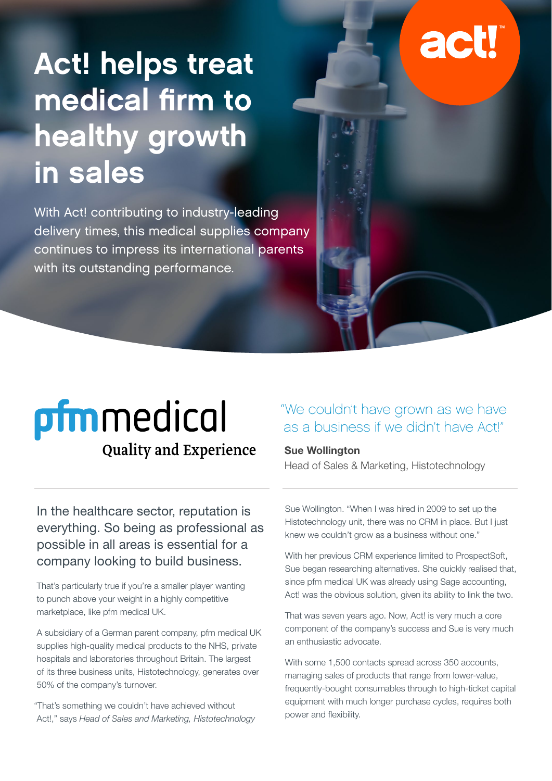# Act! helps treat

# actl

## **pfm**medical **Quality and Experience**

medical firm to

healthy growth

with its outstanding performance.

With Act! contributing to industry-leading

delivery times, this medical supplies company

continues to impress its international parents

in sales

In the healthcare sector, reputation is everything. So being as professional as possible in all areas is essential for a company looking to build business.

That's particularly true if you're a smaller player wanting to punch above your weight in a highly competitive marketplace, like pfm medical UK.

A subsidiary of a German parent company, pfm medical UK supplies high-quality medical products to the NHS, private hospitals and laboratories throughout Britain. The largest of its three business units, Histotechnology, generates over 50% of the company's turnover.

"That's something we couldn't have achieved without Act!," says *Head of Sales and Marketing, Histotechnology* 

#### "We couldn't have grown as we have as a business if we didn't have Act!"

#### **Sue Wollington**

Head of Sales & Marketing, Histotechnology

Sue Wollington. "When I was hired in 2009 to set up the Histotechnology unit, there was no CRM in place. But I just knew we couldn't grow as a business without one."

With her previous CRM experience limited to ProspectSoft, Sue began researching alternatives. She quickly realised that, since pfm medical UK was already using Sage accounting, Act! was the obvious solution, given its ability to link the two.

That was seven years ago. Now, Act! is very much a core component of the company's success and Sue is very much an enthusiastic advocate.

With some 1,500 contacts spread across 350 accounts, managing sales of products that range from lower-value, frequently-bought consumables through to high-ticket capital equipment with much longer purchase cycles, requires both power and flexibility.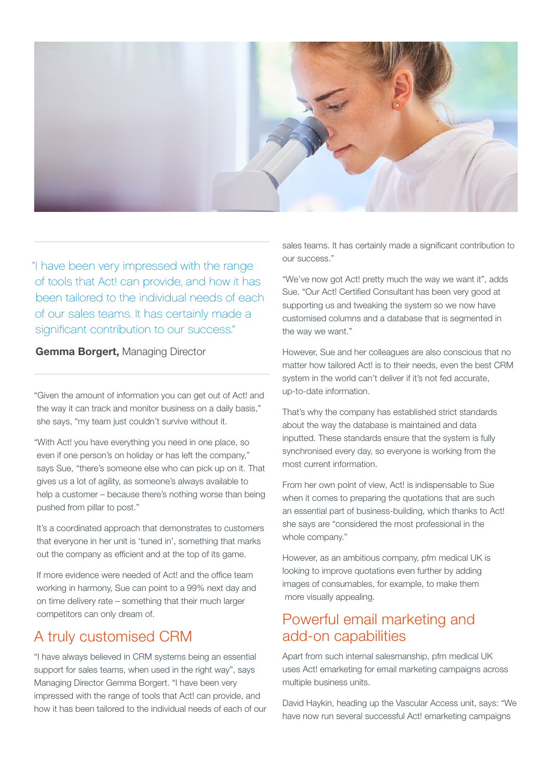

"I have been very impressed with the range of tools that Act! can provide, and how it has been tailored to the individual needs of each of our sales teams. It has certainly made a significant contribution to our success."

**Gemma Borgert,** Managing Director

"Given the amount of information you can get out of Act! and the way it can track and monitor business on a daily basis," she says, "my team just couldn't survive without it.

"With Act! you have everything you need in one place, so even if one person's on holiday or has left the company," says Sue, "there's someone else who can pick up on it. That gives us a lot of agility, as someone's always available to help a customer – because there's nothing worse than being pushed from pillar to post."

It's a coordinated approach that demonstrates to customers that everyone in her unit is 'tuned in', something that marks out the company as efficient and at the top of its game.

If more evidence were needed of Act! and the office team working in harmony, Sue can point to a 99% next day and on time delivery rate – something that their much larger competitors can only dream of.

#### A truly customised CRM

"I have always believed in CRM systems being an essential support for sales teams, when used in the right way", says Managing Director Gemma Borgert. "I have been very impressed with the range of tools that Act! can provide, and how it has been tailored to the individual needs of each of our sales teams. It has certainly made a significant contribution to our success."

"We've now got Act! pretty much the way we want it", adds Sue. "Our Act! Certified Consultant has been very good at supporting us and tweaking the system so we now have customised columns and a database that is segmented in the way we want."

However, Sue and her colleagues are also conscious that no matter how tailored Act! is to their needs, even the best CRM system in the world can't deliver if it's not fed accurate, up-to-date information.

That's why the company has established strict standards about the way the database is maintained and data inputted. These standards ensure that the system is fully synchronised every day, so everyone is working from the most current information.

From her own point of view, Act! is indispensable to Sue when it comes to preparing the quotations that are such an essential part of business-building, which thanks to Act! she says are "considered the most professional in the whole company."

However, as an ambitious company, pfm medical UK is looking to improve quotations even further by adding images of consumables, for example, to make them more visually appealing.

#### Powerful email marketing and add-on capabilities

Apart from such internal salesmanship, pfm medical UK uses Act! emarketing for email marketing campaigns across multiple business units.

David Haykin, heading up the Vascular Access unit, says: "We have now run several successful Act! emarketing campaigns